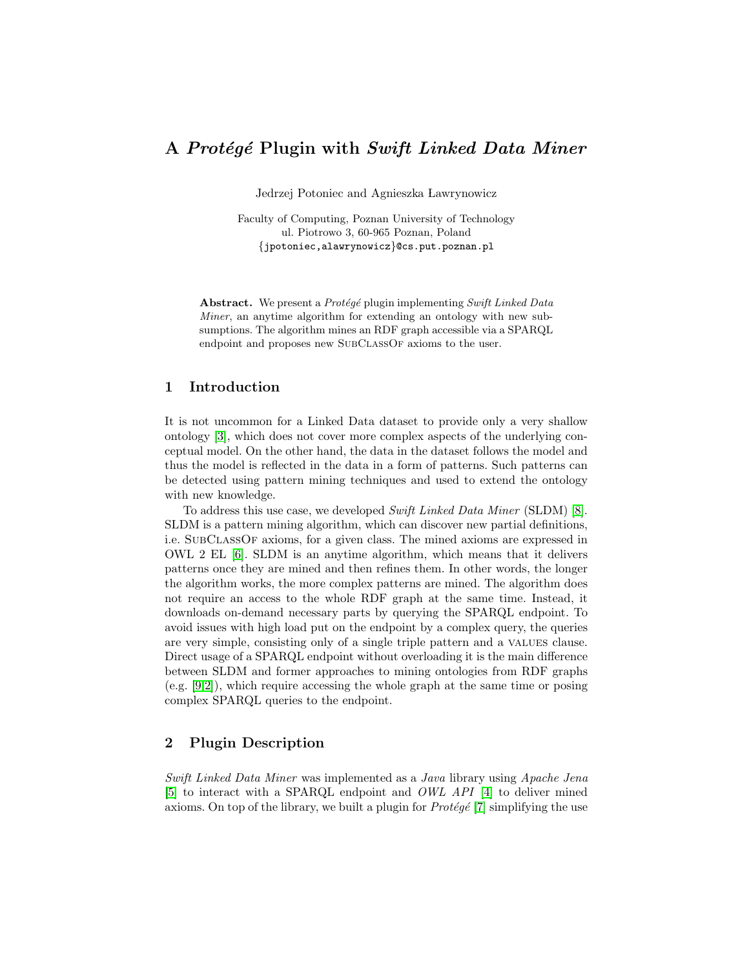# A Protégé Plugin with Swift Linked Data Miner

Jedrzej Potoniec and Agnieszka Lawrynowicz

Faculty of Computing, Poznan University of Technology ul. Piotrowo 3, 60-965 Poznan, Poland {jpotoniec,alawrynowicz}@cs.put.poznan.pl

Abstract. We present a Protégé plugin implementing Swift Linked Data Miner, an anytime algorithm for extending an ontology with new subsumptions. The algorithm mines an RDF graph accessible via a SPARQL endpoint and proposes new SUBCLASSOF axioms to the user.

#### 1 Introduction

It is not uncommon for a Linked Data dataset to provide only a very shallow ontology [\[3\]](#page-3-0), which does not cover more complex aspects of the underlying conceptual model. On the other hand, the data in the dataset follows the model and thus the model is reflected in the data in a form of patterns. Such patterns can be detected using pattern mining techniques and used to extend the ontology with new knowledge.

To address this use case, we developed Swift Linked Data Miner (SLDM) [\[8\]](#page-3-1). SLDM is a pattern mining algorithm, which can discover new partial definitions, i.e. SubClassOf axioms, for a given class. The mined axioms are expressed in OWL 2 EL [\[6\]](#page-3-2). SLDM is an anytime algorithm, which means that it delivers patterns once they are mined and then refines them. In other words, the longer the algorithm works, the more complex patterns are mined. The algorithm does not require an access to the whole RDF graph at the same time. Instead, it downloads on-demand necessary parts by querying the SPARQL endpoint. To avoid issues with high load put on the endpoint by a complex query, the queries are very simple, consisting only of a single triple pattern and a values clause. Direct usage of a SPARQL endpoint without overloading it is the main difference between SLDM and former approaches to mining ontologies from RDF graphs (e.g. [\[9,](#page-3-3)[2\]](#page-3-4)), which require accessing the whole graph at the same time or posing complex SPARQL queries to the endpoint.

#### 2 Plugin Description

Swift Linked Data Miner was implemented as a Java library using Apache Jena [\[5\]](#page-3-5) to interact with a SPARQL endpoint and OWL API [\[4\]](#page-3-6) to deliver mined axioms. On top of the library, we built a plugin for  $Prot\acute{e}g\acute{e}$  [\[7\]](#page-3-7) simplifying the use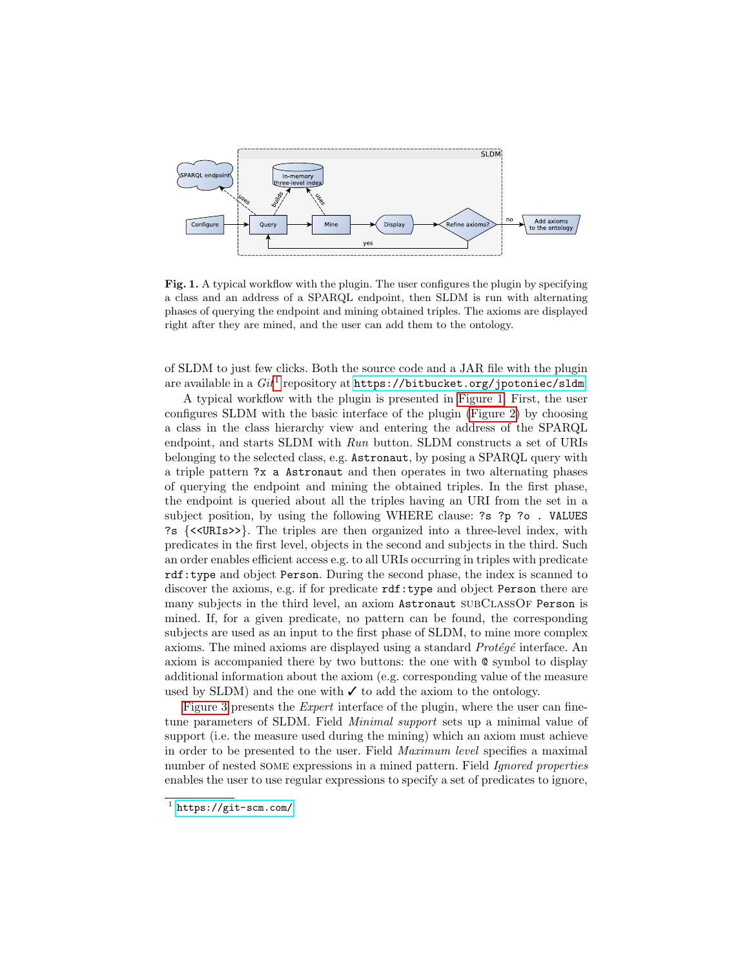

<span id="page-1-1"></span>Fig. 1. A typical workflow with the plugin. The user configures the plugin by specifying a class and an address of a SPARQL endpoint, then SLDM is run with alternating phases of querying the endpoint and mining obtained triples. The axioms are displayed right after they are mined, and the user can add them to the ontology.

of SLDM to just few clicks. Both the source code and a JAR file with the plugin are available in a  $\mathit{Git}^{1}$  $\mathit{Git}^{1}$  $\mathit{Git}^{1}$  repository at  $\texttt{https://bitbucket.org/jpotoniec/sldm}.$  $\texttt{https://bitbucket.org/jpotoniec/sldm}.$  $\texttt{https://bitbucket.org/jpotoniec/sldm}.$ 

A typical workflow with the plugin is presented in [Figure 1.](#page-1-1) First, the user configures SLDM with the basic interface of the plugin [\(Figure 2\)](#page-2-0) by choosing a class in the class hierarchy view and entering the address of the SPARQL endpoint, and starts SLDM with Run button. SLDM constructs a set of URIs belonging to the selected class, e.g. Astronaut, by posing a SPARQL query with a triple pattern ?x a Astronaut and then operates in two alternating phases of querying the endpoint and mining the obtained triples. In the first phase, the endpoint is queried about all the triples having an URI from the set in a subject position, by using the following WHERE clause: ?s ?p ?o . VALUES ?s {<<URIs>>}. The triples are then organized into a three-level index, with predicates in the first level, objects in the second and subjects in the third. Such an order enables efficient access e.g. to all URIs occurring in triples with predicate rdf:type and object Person. During the second phase, the index is scanned to discover the axioms, e.g. if for predicate  $\texttt{rdf:type}$  and object Person there are many subjects in the third level, an axiom Astronaut SUBCLASSOF Person is mined. If, for a given predicate, no pattern can be found, the corresponding subjects are used as an input to the first phase of SLDM, to mine more complex axioms. The mined axioms are displayed using a standard  $Prot\acute{e}q\acute{e}$  interface. An axiom is accompanied there by two buttons: the one with @ symbol to display additional information about the axiom (e.g. corresponding value of the measure used by SLDM) and the one with  $\checkmark$  to add the axiom to the ontology.

[Figure 3](#page-3-8) presents the Expert interface of the plugin, where the user can finetune parameters of SLDM. Field Minimal support sets up a minimal value of support (i.e. the measure used during the mining) which an axiom must achieve in order to be presented to the user. Field Maximum level specifies a maximal number of nested some expressions in a mined pattern. Field Ignored properties enables the user to use regular expressions to specify a set of predicates to ignore,

<span id="page-1-0"></span><sup>1</sup> <https://git-scm.com/>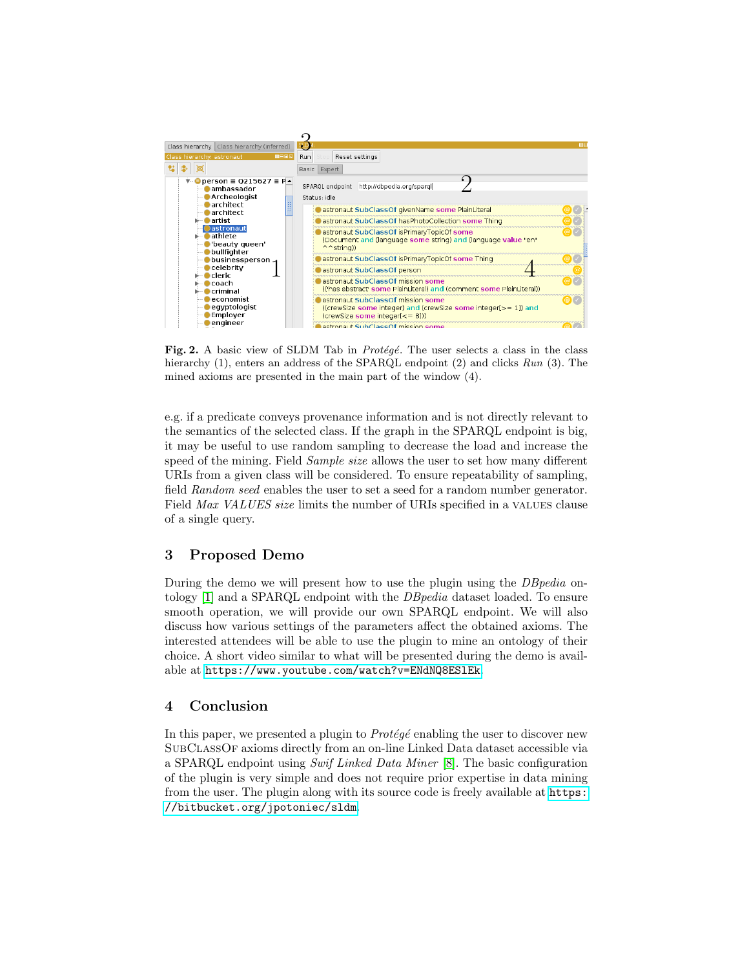

<span id="page-2-0"></span>Fig. 2. A basic view of SLDM Tab in *Protégé*. The user selects a class in the class hierarchy (1), enters an address of the SPARQL endpoint (2) and clicks Run (3). The mined axioms are presented in the main part of the window (4).

e.g. if a predicate conveys provenance information and is not directly relevant to the semantics of the selected class. If the graph in the SPARQL endpoint is big, it may be useful to use random sampling to decrease the load and increase the speed of the mining. Field *Sample size* allows the user to set how many different URIs from a given class will be considered. To ensure repeatability of sampling, field Random seed enables the user to set a seed for a random number generator. Field Max VALUES size limits the number of URIs specified in a VALUES clause of a single query.

## 3 Proposed Demo

During the demo we will present how to use the plugin using the *DBpedia* ontology [\[1\]](#page-3-9) and a SPARQL endpoint with the DBpedia dataset loaded. To ensure smooth operation, we will provide our own SPARQL endpoint. We will also discuss how various settings of the parameters affect the obtained axioms. The interested attendees will be able to use the plugin to mine an ontology of their choice. A short video similar to what will be presented during the demo is available at <https://www.youtube.com/watch?v=ENdNQ8ESlEk>.

## 4 Conclusion

In this paper, we presented a plugin to  $Prot\acute{e}g\acute{e}$  enabling the user to discover new SubClassOf axioms directly from an on-line Linked Data dataset accessible via a SPARQL endpoint using Swif Linked Data Miner [\[8\]](#page-3-1). The basic configuration of the plugin is very simple and does not require prior expertise in data mining from the user. The plugin along with its source code is freely available at [https:](https://bitbucket.org/jpotoniec/sldm) [//bitbucket.org/jpotoniec/sldm](https://bitbucket.org/jpotoniec/sldm).